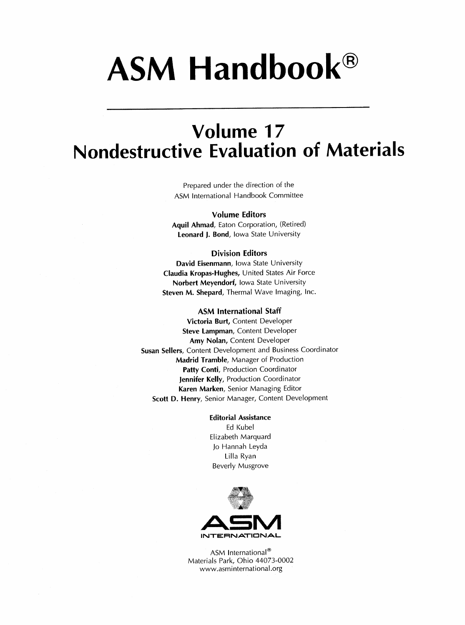# ASM Handbook®

### Volume 17 Nondestructive Evaluation of Materials

Prepared under the direction of the ASM International Handbook Committee

#### Volume Editors

Aquil Ahmad, Eaton Corporation, (Retired) Leonard J. Bond, Iowa State University

#### Division Editors

David Eisenmann, Iowa State University Claudia Kropas-Hughes, United States Air Force Norbert Meyendorf, Iowa State University Steven M. Shepard, Thermal Wave Imaging, Inc.

#### ASM International Staff

Victoria Burt, Content Developer Steve Lampman, Content Developer Amy Nolan, Content Developer Susan Sellers, Content Development and Business Coordinator Madrid Tramble, Manager of Production Patty Conti, Production Coordinator Jennifer Kelly, Production Coordinator Karen Marken, Senior Managing Editor Scott D. Henry, Senior Manager, Content Development

#### Editorial Assistance

Ed Kubel Elizabeth Marquard Jo Hannah Leyda Lilla Ryan Beverly Musgrove



ASM International® Materials Park, Ohio 44073-0002 www.asminternational.org